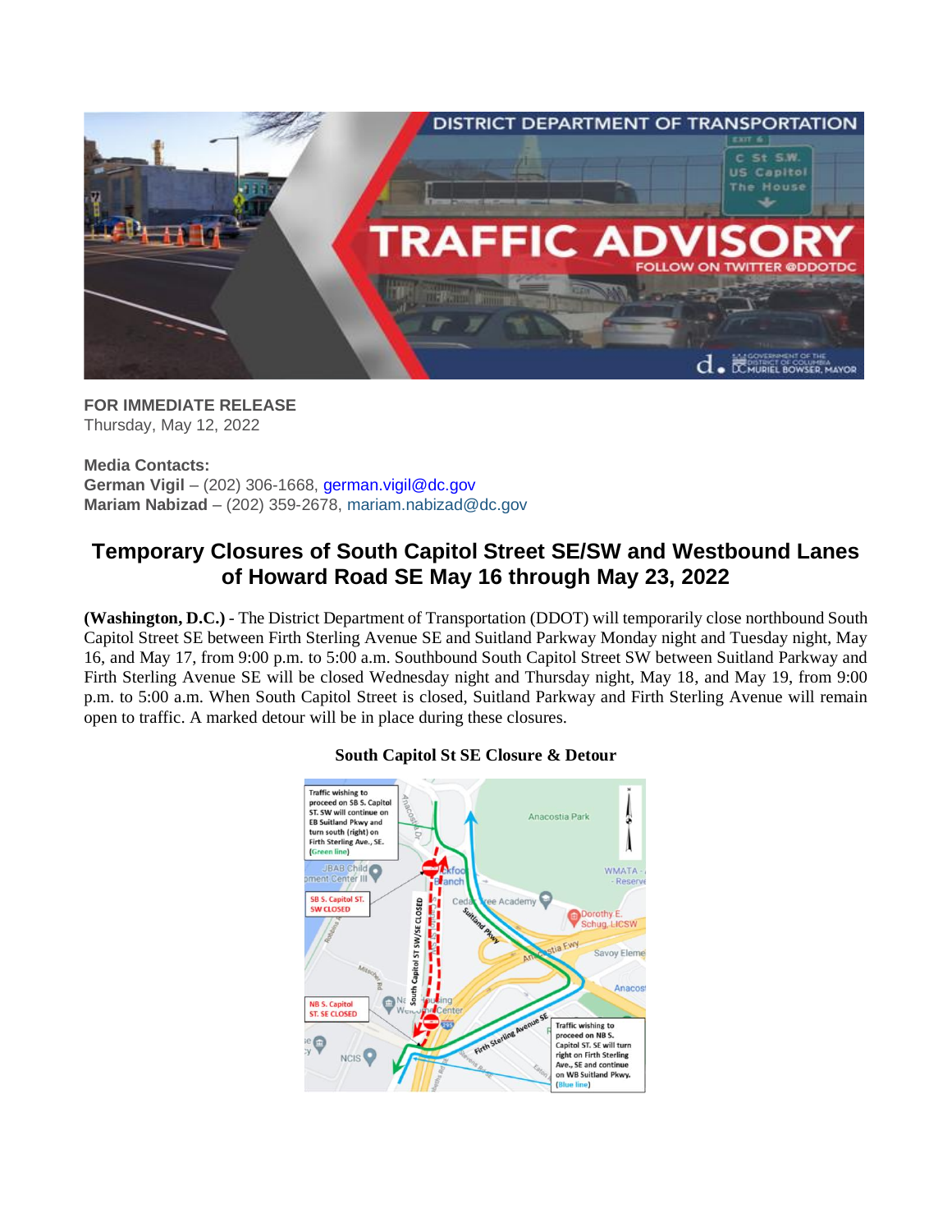

**FOR IMMEDIATE RELEASE** Thursday, May 12, 2022

**Media Contacts: German Vigil** – (202) 306-1668, [german.vigil@dc.gov](mailto:german.vigil@dc.gov) **Mariam Nabizad** – (202) 359-2678, [mariam.nabizad@dc.gov](mailto:mariam.nabizad@dc.gov)

## **Temporary Closures of South Capitol Street SE/SW and Westbound Lanes of Howard Road SE May 16 through May 23, 2022**

**(Washington, D.C.)** - The District Department of Transportation (DDOT) will temporarily close northbound South Capitol Street SE between Firth Sterling Avenue SE and Suitland Parkway Monday night and Tuesday night, May 16, and May 17, from 9:00 p.m. to 5:00 a.m. Southbound South Capitol Street SW between Suitland Parkway and Firth Sterling Avenue SE will be closed Wednesday night and Thursday night, May 18, and May 19, from 9:00 p.m. to 5:00 a.m. When South Capitol Street is closed, Suitland Parkway and Firth Sterling Avenue will remain open to traffic. A marked detour will be in place during these closures.



## **South Capitol St SE Closure & Detour**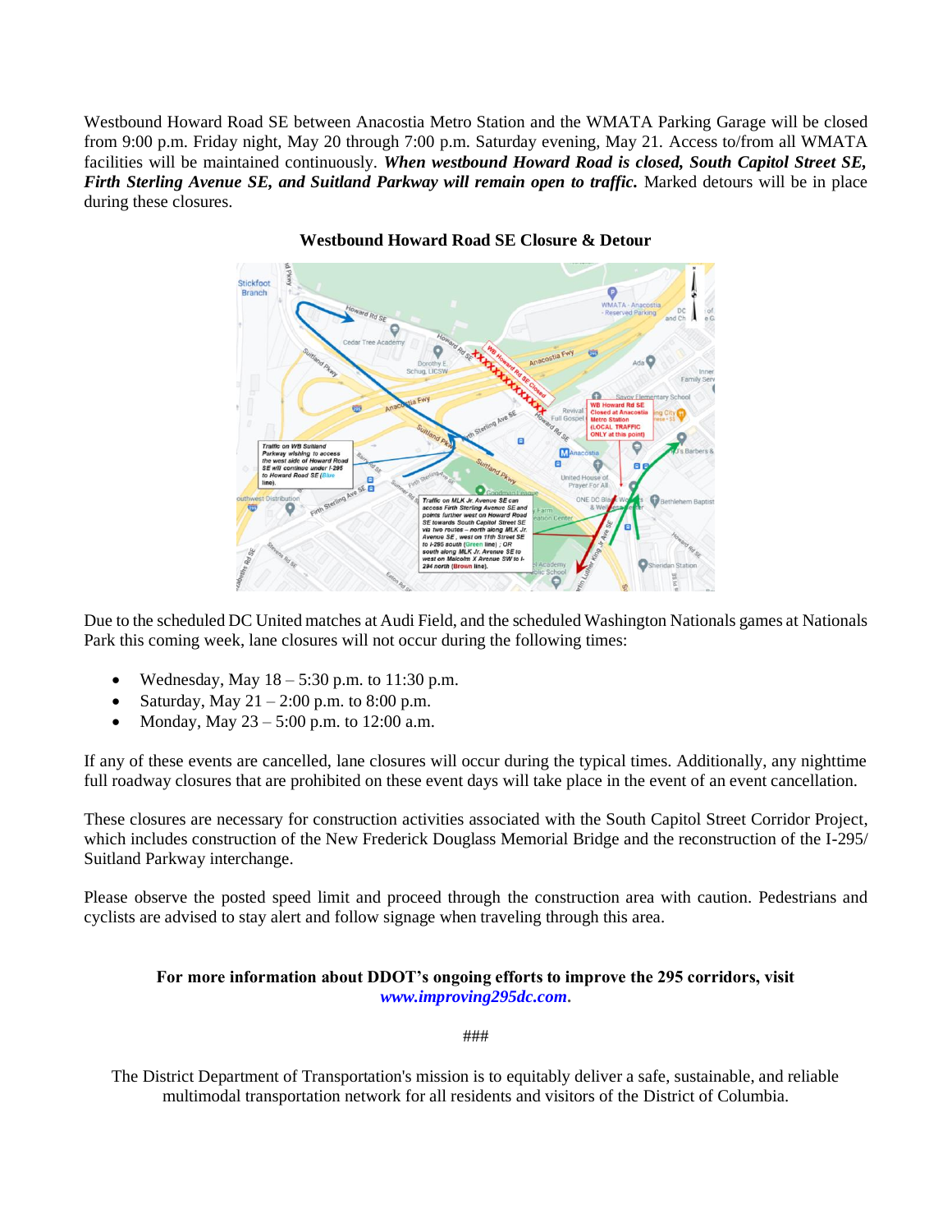Westbound Howard Road SE between Anacostia Metro Station and the WMATA Parking Garage will be closed from 9:00 p.m. Friday night, May 20 through 7:00 p.m. Saturday evening, May 21. Access to/from all WMATA facilities will be maintained continuously. *When westbound Howard Road is closed, South Capitol Street SE, Firth Sterling Avenue SE, and Suitland Parkway will remain open to traffic.* Marked detours will be in place during these closures.



**Westbound Howard Road SE Closure & Detour**

Due to the scheduled DC United matches at Audi Field, and the scheduled Washington Nationals games at Nationals Park this coming week, lane closures will not occur during the following times:

- Wednesday, May  $18 5:30$  p.m. to  $11:30$  p.m.
- Saturday, May  $21 2:00$  p.m. to  $8:00$  p.m.
- Monday, May  $23 5:00$  p.m. to 12:00 a.m.

If any of these events are cancelled, lane closures will occur during the typical times. Additionally, any nighttime full roadway closures that are prohibited on these event days will take place in the event of an event cancellation.

These closures are necessary for construction activities associated with the South Capitol Street Corridor Project, which includes construction of the New Frederick Douglass Memorial Bridge and the reconstruction of the I-295/ Suitland Parkway interchange.

Please observe the posted speed limit and proceed through the construction area with caution. Pedestrians and cyclists are advised to stay alert and follow signage when traveling through this area.

## **For more information about DDOT's ongoing efforts to improve the 295 corridors, visit**  *[www.improving295dc.com](http://www.improving295dc.com/)***.**

###

The District Department of Transportation's mission is to equitably deliver a safe, sustainable, and reliable multimodal transportation network for all residents and visitors of the District of Columbia.